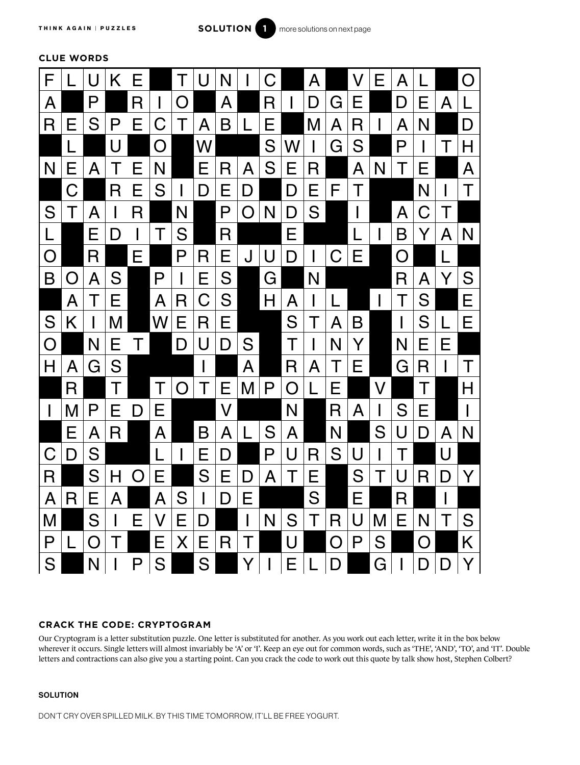

**CLUE WORDS**



## **CRACK THE CODE: CRYPTOGRAM**

Our Cryptogram is a letter substitution puzzle. One letter is substituted for another. As you work out each letter, write it in the box below wherever it occurs. Single letters will almost invariably be 'A' or 'I'. Keep an eye out for common words, such as 'THE', 'AND', 'TO', and 'IT'. Double letters and contractions can also give you a starting point. Can you crack the code to work out this quote by talk show host, Stephen Colbert?

## **SOLUTION**

DON'T CRY OVER SPILLED MILK. BY THIS TIME TOMORROW, IT'LL BE FREE YOGURT.